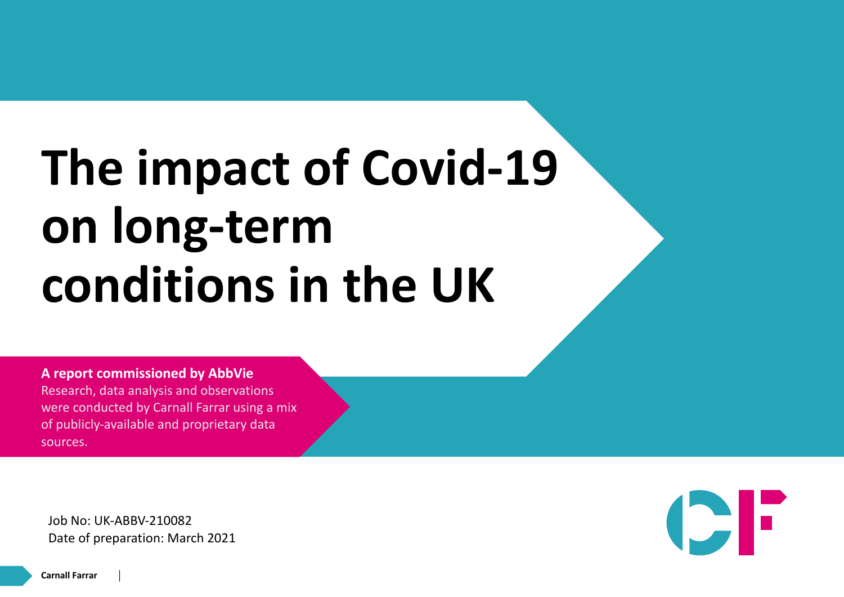## **The impact of Covid-19 on long-term conditions in the UK**

**A report commissioned by AbbVie** Research, data analysis and observations were conducted by Carnall Farrar using a mix of publicly-available and proprietary data sources.

Job No: UK-ABBV-210082 Date of preparation: March 2021

**Carnall Farrar**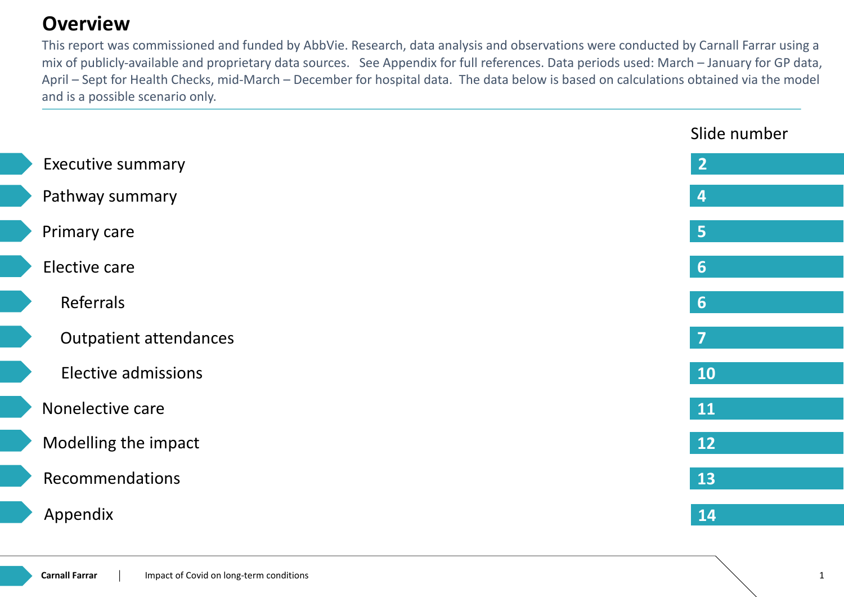#### **Overview**

This report was commissioned and funded by AbbVie. Research, data analysis and observations were conducted by Carnall Farrar using a mix of publicly-available and proprietary data sources. See Appendix for full references. Data periods used: March – January for GP data, April – Sept for Health Checks, mid-March – December for hospital data. The data below is based on calculations obtained via the model and is a possible scenario only.

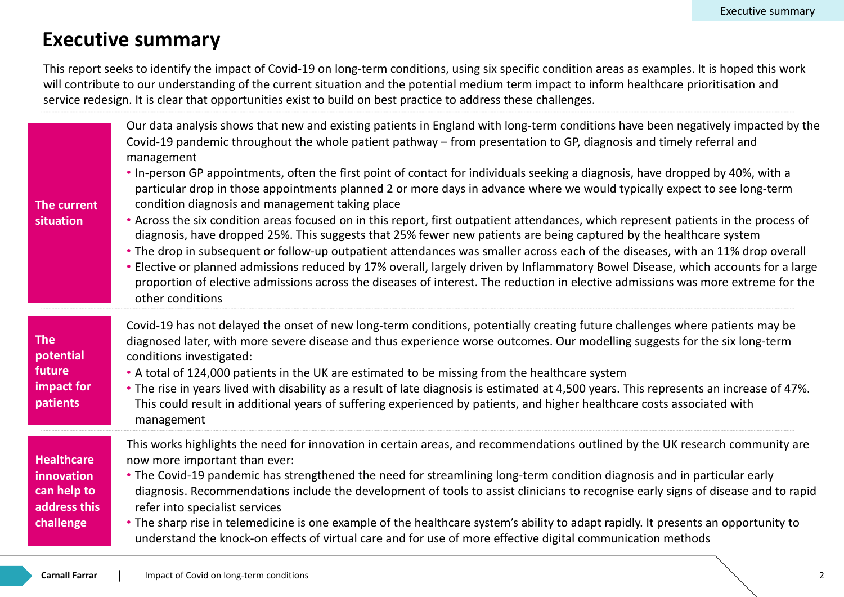#### **Executive summary**

This report seeks to identify the impact of Covid-19 on long-term conditions, using six specific condition areas as examples. It is hoped this work will contribute to our understanding of the current situation and the potential medium term impact to inform healthcare prioritisation and service redesign. It is clear that opportunities exist to build on best practice to address these challenges.

| The current<br>situation                                                    | Our data analysis shows that new and existing patients in England with long-term conditions have been negatively impacted by the<br>Covid-19 pandemic throughout the whole patient pathway – from presentation to GP, diagnosis and timely referral and<br>management<br>. In-person GP appointments, often the first point of contact for individuals seeking a diagnosis, have dropped by 40%, with a<br>particular drop in those appointments planned 2 or more days in advance where we would typically expect to see long-term<br>condition diagnosis and management taking place<br>• Across the six condition areas focused on in this report, first outpatient attendances, which represent patients in the process of<br>diagnosis, have dropped 25%. This suggests that 25% fewer new patients are being captured by the healthcare system<br>• The drop in subsequent or follow-up outpatient attendances was smaller across each of the diseases, with an 11% drop overall<br>• Elective or planned admissions reduced by 17% overall, largely driven by Inflammatory Bowel Disease, which accounts for a large<br>proportion of elective admissions across the diseases of interest. The reduction in elective admissions was more extreme for the<br>other conditions |
|-----------------------------------------------------------------------------|-------------------------------------------------------------------------------------------------------------------------------------------------------------------------------------------------------------------------------------------------------------------------------------------------------------------------------------------------------------------------------------------------------------------------------------------------------------------------------------------------------------------------------------------------------------------------------------------------------------------------------------------------------------------------------------------------------------------------------------------------------------------------------------------------------------------------------------------------------------------------------------------------------------------------------------------------------------------------------------------------------------------------------------------------------------------------------------------------------------------------------------------------------------------------------------------------------------------------------------------------------------------------------------|
| <b>The</b><br>potential<br>future<br>impact for<br>patients                 | Covid-19 has not delayed the onset of new long-term conditions, potentially creating future challenges where patients may be<br>diagnosed later, with more severe disease and thus experience worse outcomes. Our modelling suggests for the six long-term<br>conditions investigated:<br>• A total of 124,000 patients in the UK are estimated to be missing from the healthcare system<br>• The rise in years lived with disability as a result of late diagnosis is estimated at 4,500 years. This represents an increase of 47%.<br>This could result in additional years of suffering experienced by patients, and higher healthcare costs associated with<br>management                                                                                                                                                                                                                                                                                                                                                                                                                                                                                                                                                                                                       |
| <b>Healthcare</b><br>innovation<br>can help to<br>address this<br>challenge | This works highlights the need for innovation in certain areas, and recommendations outlined by the UK research community are<br>now more important than ever:<br>• The Covid-19 pandemic has strengthened the need for streamlining long-term condition diagnosis and in particular early<br>diagnosis. Recommendations include the development of tools to assist clinicians to recognise early signs of disease and to rapid<br>refer into specialist services<br>• The sharp rise in telemedicine is one example of the healthcare system's ability to adapt rapidly. It presents an opportunity to<br>understand the knock-on effects of virtual care and for use of more effective digital communication methods                                                                                                                                                                                                                                                                                                                                                                                                                                                                                                                                                              |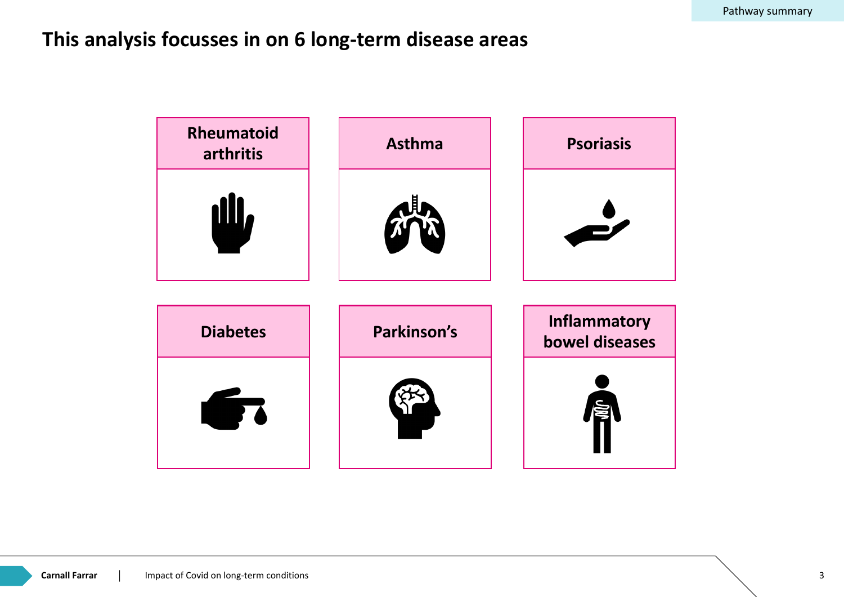#### **This analysis focusses in on 6 long-term disease areas**

| Rheumatoid<br>arthritis | <b>Asthma</b> | <b>Psoriasis</b>                      |
|-------------------------|---------------|---------------------------------------|
|                         |               |                                       |
| <b>Diabetes</b>         | Parkinson's   | <b>Inflammatory</b><br>bowel diseases |
|                         |               |                                       |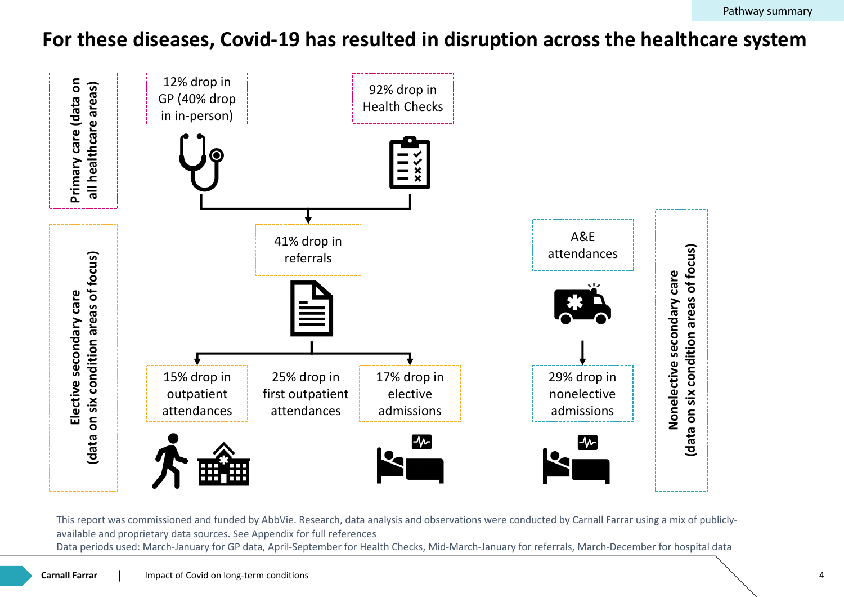#### **For these diseases, Covid-19 has resulted in disruption across the healthcare system**



This report was commissioned and funded by AbbVie. Research, data analysis and observations were conducted by Carnall Farrar using a mix of publiclyavailable and proprietary data sources. See Appendix for full references Data periods used: March-January for GP data, April-September for Health Checks, Mid-March-January for referrals, March-December for hospital data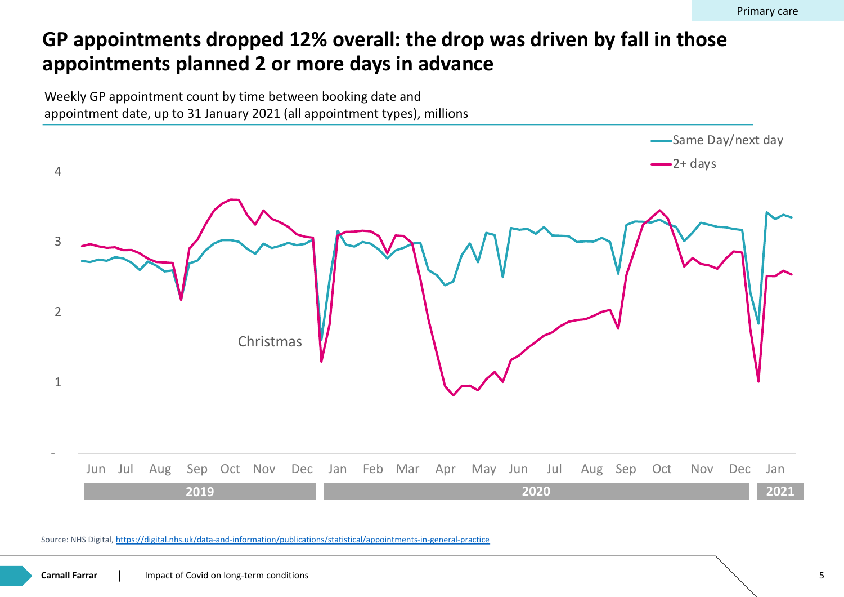#### GP appointments dropped 12% overall: the drop was driven by **appointments planned 2 or more days in advance**

Weekly GP appointment count by time between booking date and appointment date, up to 31 January 2021 (all appointment types), millions



Source: NHS Digital, https://digital.nhs.uk/data-and-information/publications/statistical/appointments-in-general-practice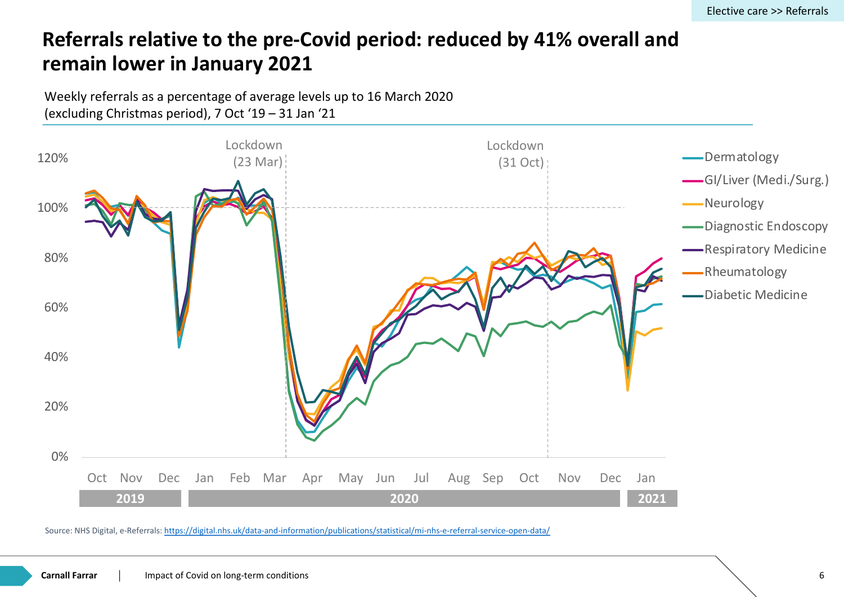#### **Referrals relative to the pre-Covid period: reduced by 41% overally remain lower in January 2021**

Weekly referrals as a percentage of average levels up to 16 March 2020 (excluding Christmas period), 7 Oct '19 – 31 Jan '21



Source: NHS Digital, e-Referrals: https://digital.nhs.uk/data-and-information/publications/statistical/mi-nhs-e-referral-service-open-data/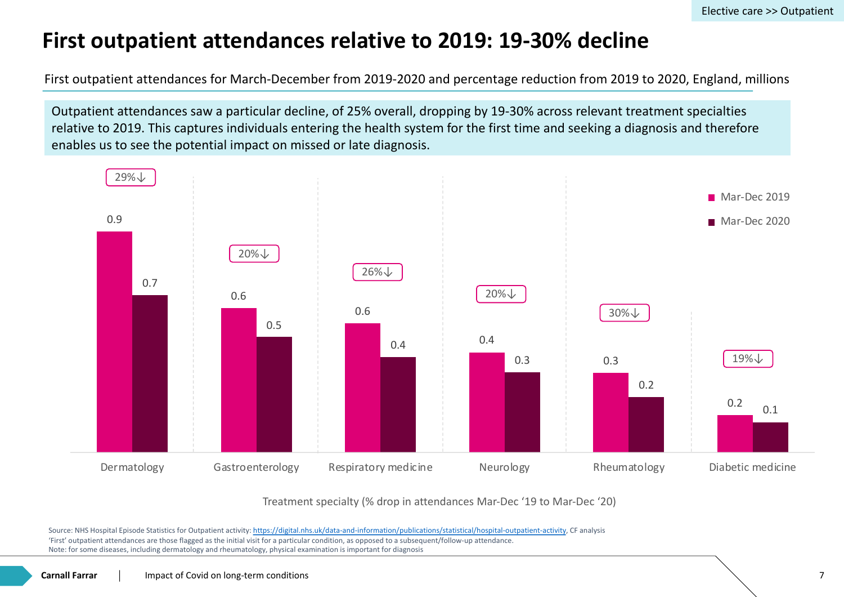## **First outpatient attendances relative to 2019: 19-30% dec**

First outpatient attendances for March-December from 2019-2020 and percentage reduction from 2019

Outpatient attendances saw a particular decline, of 25% overall, dropping by 19-30% across releval relative to 2019. This captures individuals entering the health system for the first time and seeking enables us to see the potential impact on missed or late diagnosis.



Treatment specialty (% drop in attendances Mar-Dec '19 to Mar-Dec '20)

Source: NHS Hospital Episode Statistics for Outpatient activity: https://digital.nhs.uk/data-and-information/publications/statistical/hospital-outpatient-activity, CF analysis 'First' outpatient attendances are those flagged as the initial visit for a particular condition, as opposed to a subsequent/follow-up attendance. Note: for some diseases, including dermatology and rheumatology, physical examination is important for diagnosis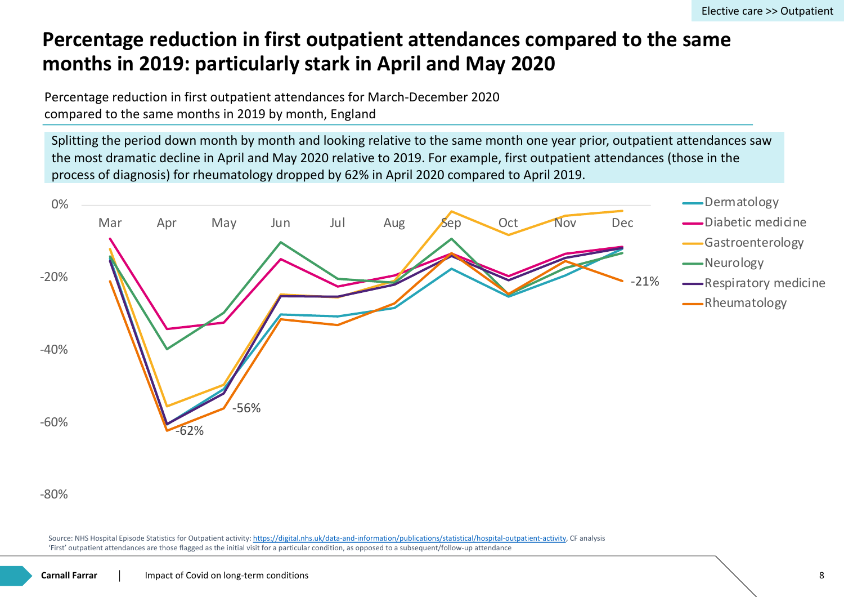#### **Percentage reduction in first outpatient attendances compared months in 2019: particularly stark in April and May 2020**

Percentage reduction in first outpatient attendances for March-December 2020 compared to the same months in 2019 by month, England

Splitting the period down month by month and looking relative to the same month one year prior, the most dramatic decline in April and May 2020 relative to 2019. For example, first outpatient atte process of diagnosis) for rheumatology dropped by 62% in April 2020 compared to April 2019.



#### -80%

Source: NHS Hospital Episode Statistics for Outpatient activity: https://digital.nhs.uk/data-and-information/publications/statistical/hospital-outpatient-activity, CF analysis 'First' outpatient attendances are those flagged as the initial visit for a particular condition, as opposed to a subsequent/follow-up attendance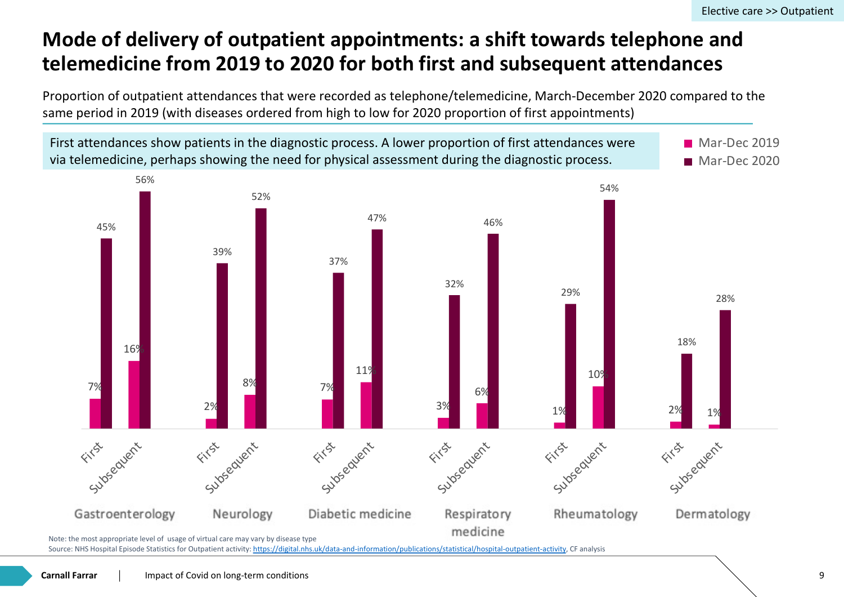### **Mode of delivery of outpatient appointments: a shift towards to** telemedicine from 2019 to 2020 for both first and subsequent

Proportion of outpatient attendances that were recorded as telephone/telemedicine, March-Decem same period in 2019 (with diseases ordered from high to low for 2020 proportion of first appointme



First attendances show patients in the diagnostic process. A lower proportion of first attendances w

Source: NHS Hospital Episode Statistics for Outpatient activity: https://digital.nhs.uk/data-and-information/publications/statistical/hospital-outpatient-activity, CF analysis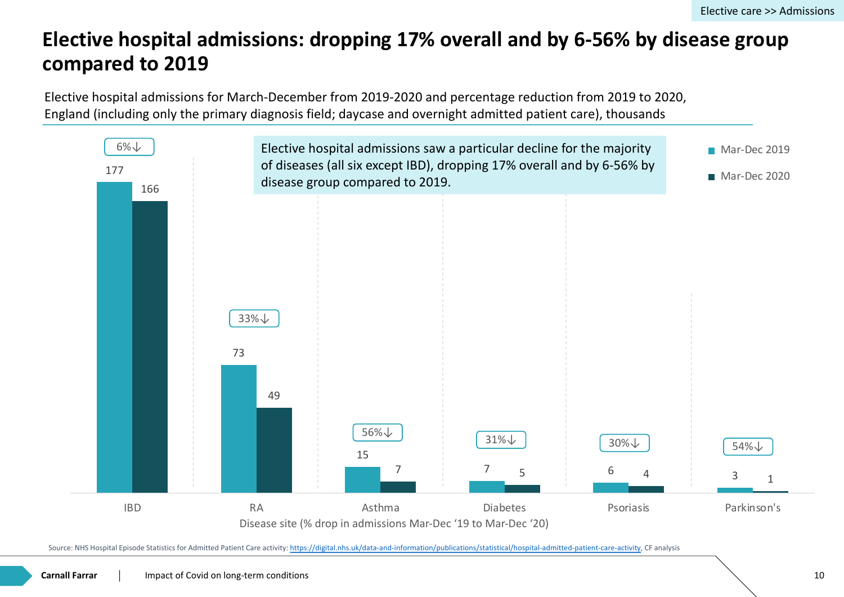#### **Elective hospital admissions: dropping 17% overall and by 6-56 compared to 2019**

Elective hospital admissions for March-December from 2019-2020 and percentage reduction from 2 England (including only the primary diagnosis field; daycase and overnight admitted patient care), thousands



Source: NHS Hospital Episode Statistics for Admitted Patient Care activity: https://digital.nhs.uk/data-and-information/publications/statistical/hospital-admitted-patient-care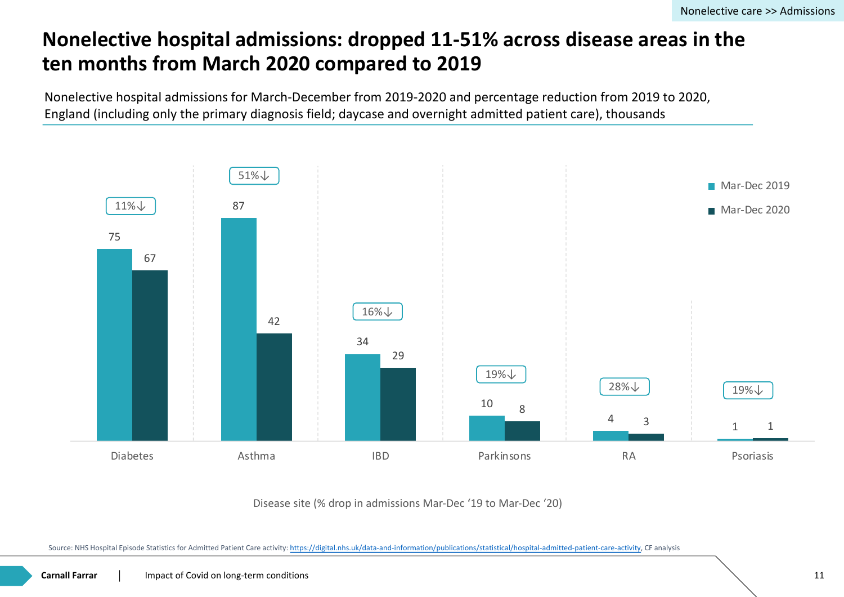#### **Nonelective hospital admissions: dropped 11-51% across disea ten months from March 2020 compared to 2019**

Nonelective hospital admissions for March-December from 2019-2020 and percentage reduction from England (including only the primary diagnosis field; daycase and overnight admitted patient care), thousands



Disease site (% drop in admissions Mar-Dec '19 to Mar-Dec '20)

Source: NHS Hospital Episode Statistics for Admitted Patient Care activity: https://digital.nhs.uk/data-and-information/publications/statistical/hospital-admitted-patient-care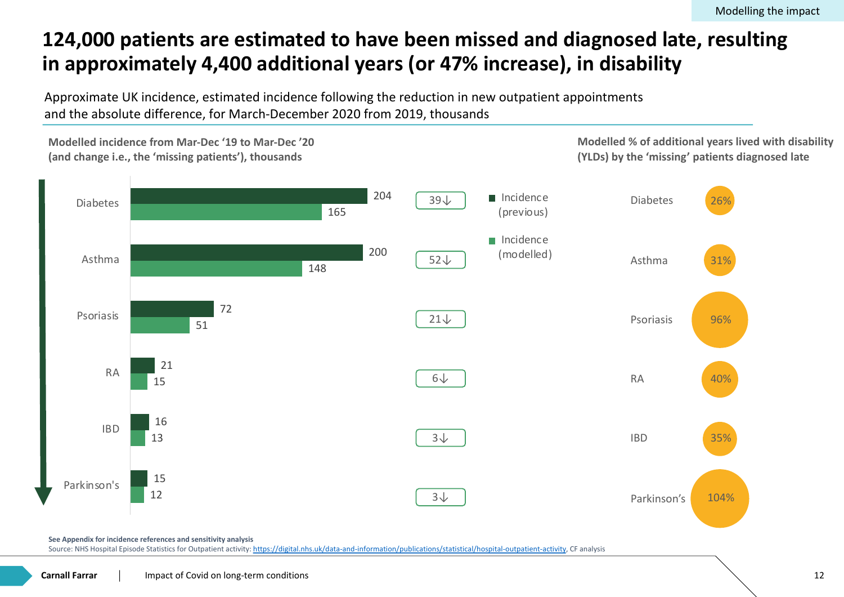### **124,000 patients are estimated to have been missed and diagn** in approximately 4,400 additional years (or 47% increase), in di

Approximate UK incidence, estimated incidence following the reduction in new outpatient appointn and the absolute difference, for March-December 2020 from 2019, thousands



**See Appendix for incidence references and sensitivity analysis**

Source: NHS Hospital Episode Statistics for Outpatient activity: https://digital.nhs.uk/data-and-information/publications/statistical/hospital-outpatient-activity, CF analysis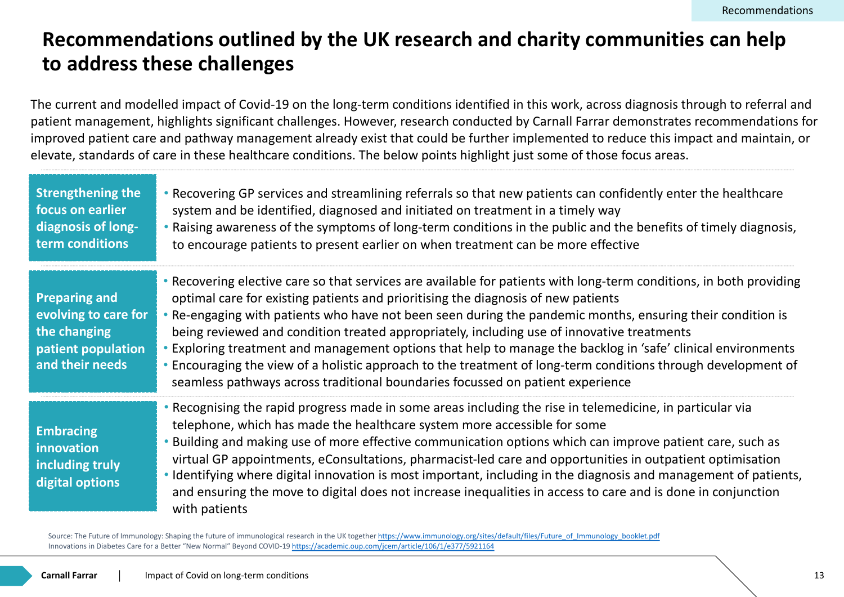#### **Recommendations outlined by the UK research and charity cor to address these challenges**

The current and modelled impact of Covid-19 on the long-term conditions identified in this work, acros patient management, highlights significant challenges. However, research conducted by Carnall Farrar improved patient care and pathway management already exist that could be further implemented to r elevate, standards of care in these healthcare conditions. The below points highlight just some of those

| <b>Strengthening the</b><br>focus on earlier<br>diagnosis of long-<br>term conditions                 | • Recovering GP services and streamlining referrals so that new patients can col<br>system and be identified, diagnosed and initiated on treatment in a timely wa<br>• Raising awareness of the symptoms of long-term conditions in the public and<br>to encourage patients to present earlier on when treatment can be more effel                                                                                                                                                                                                                                                         |
|-------------------------------------------------------------------------------------------------------|--------------------------------------------------------------------------------------------------------------------------------------------------------------------------------------------------------------------------------------------------------------------------------------------------------------------------------------------------------------------------------------------------------------------------------------------------------------------------------------------------------------------------------------------------------------------------------------------|
| <b>Preparing and</b><br>evolving to care for<br>the changing<br>patient population<br>and their needs | • Recovering elective care so that services are available for patients with long-te<br>optimal care for existing patients and prioritising the diagnosis of new patient<br>• Re-engaging with patients who have not been seen during the pandemic mon<br>being reviewed and condition treated appropriately, including use of innovative<br>• Exploring treatment and management options that help to manage the backlo<br>• Encouraging the view of a holistic approach to the treatment of long-term cor<br>seamless pathways across traditional boundaries focussed on patient experier |
| <b>Embracing</b><br>innovation<br>including truly<br>digital options                                  | • Recognising the rapid progress made in some areas including the rise in telem<br>telephone, which has made the healthcare system more accessible for some<br>• Building and making use of more effective communication options which can<br>virtual GP appointments, eConsultations, pharmacist-led care and opportunit<br>• Identifying where digital innovation is most important, including in the diagno<br>and ensuring the move to digital does not increase inequalities in access to ca<br>with patients                                                                         |

Source: The Future of Immunology: Shaping the future of immunological research in the UK together https://www.immunology.org/sites/default/files/Future\_of\_Immunology Innovations in Diabetes Care for a Better "New Normal" Beyond COVID-19 https://academic.oup.com/jcem/article/106/1/e377/5921164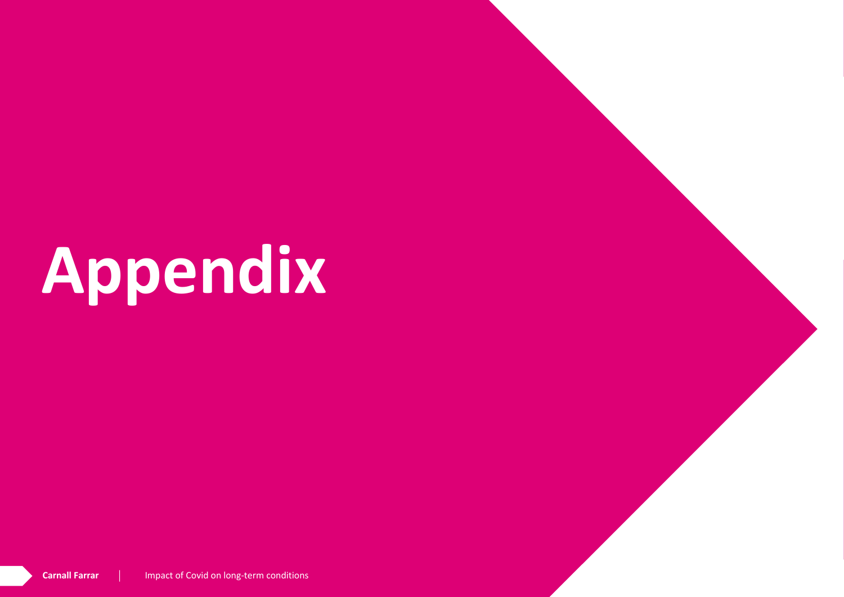# **Appendix**

**Carnall Farrar** Impact of Covid on long-term conditions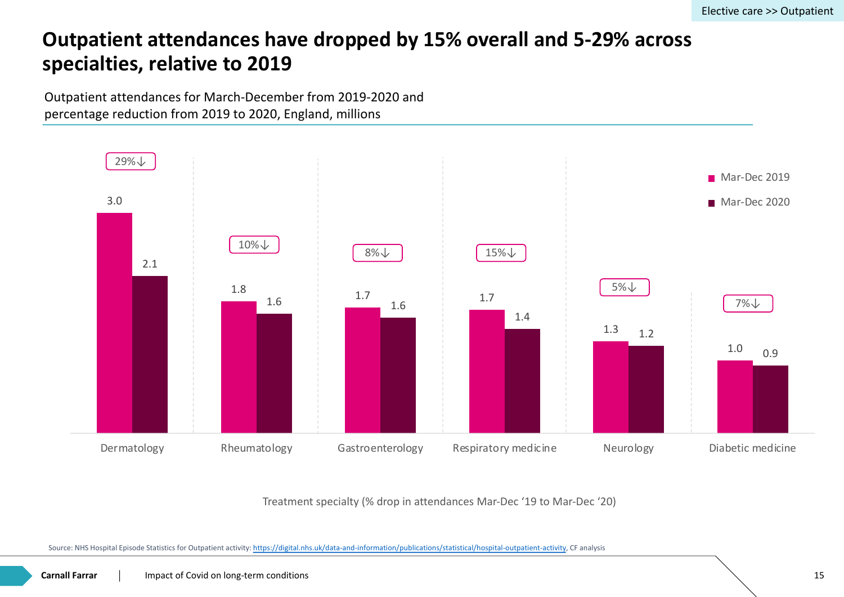#### **Outpatient attendances have dropped by 15% overall and 5-29 specialties, relative to 2019**

Outpatient attendances for March-December from 2019-2020 and percentage reduction from 2019 to 2020, England, millions



Treatment specialty (% drop in attendances Mar-Dec '19 to Mar-Dec '20)

Source: NHS Hospital Episode Statistics for Outpatient activity: https://digital.nhs.uk/data-and-information/publications/statistical/hospital-outpatient-activity, CF analysis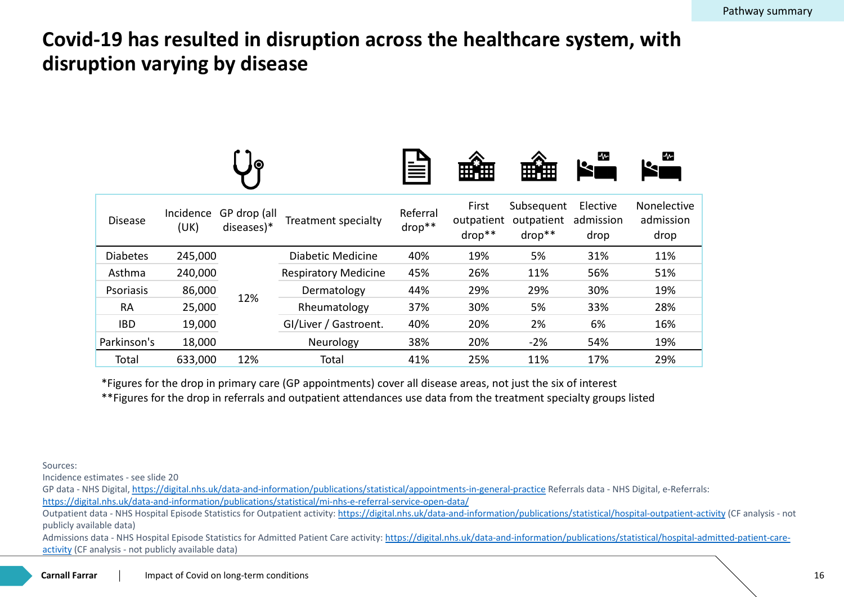#### **Covid-19 has resulted in disruption across the healthcare system disruption varying by disease**

|                 |                   |                            |                             |                      | ⊞細                            | 無無                                   | $\mathbf{w}$                 |
|-----------------|-------------------|----------------------------|-----------------------------|----------------------|-------------------------------|--------------------------------------|------------------------------|
| <b>Disease</b>  | Incidence<br>(UK) | GP drop (all<br>diseases)* | Treatment specialty         | Referral<br>$drop**$ | First<br>outpatient<br>drop** | Subsequent<br>outpatient<br>$drop**$ | Elective<br>admissic<br>drop |
| <b>Diabetes</b> | 245,000           |                            | <b>Diabetic Medicine</b>    | 40%                  | 19%                           | 5%                                   | 31%                          |
| Asthma          | 240,000           |                            | <b>Respiratory Medicine</b> | 45%                  | 26%                           | 11%                                  | 56%                          |
| Psoriasis       | 86,000            | 12%                        | Dermatology                 | 44%                  | 29%                           | 29%                                  | 30%                          |
| <b>RA</b>       | 25,000            |                            | Rheumatology                | 37%                  | 30%                           | 5%                                   | 33%                          |
| <b>IBD</b>      | 19,000            |                            | GI/Liver / Gastroent.       | 40%                  | 20%                           | 2%                                   | 6%                           |
| Parkinson's     | 18,000            |                            | Neurology                   | 38%                  | 20%                           | $-2%$                                | 54%                          |
| Total           | 633,000           | 12%                        | Total                       | 41%                  | 25%                           | 11%                                  | 17%                          |
|                 |                   |                            |                             |                      |                               |                                      |                              |

\*Figures for the drop in primary care (GP appointments) cover all disease areas, not just the six of interest \*\*Figures for the drop in referrals and outpatient attendances use data from the treatment specialty grou

Sources:

Incidence estimates - see slide 20

GP data - NHS Digital, https://digital.nhs.uk/data-and-information/publications/statistical/appointments-in-general-practice Referrals data https://digital.nhs.uk/data-and-information/publications/statistical/mi-nhs-e-referral-service-open-data/

Outpatient data - NHS Hospital Episode Statistics for Outpatient activity: https://digital.nhs.uk/data-and-information/publications/statistical/ publicly available data)

Admissions data - NHS Hospital Episode Statistics for Admitted Patient Care activity: https://digital.nhs.uk/data-and-information/publications activity (CF analysis - not publicly available data)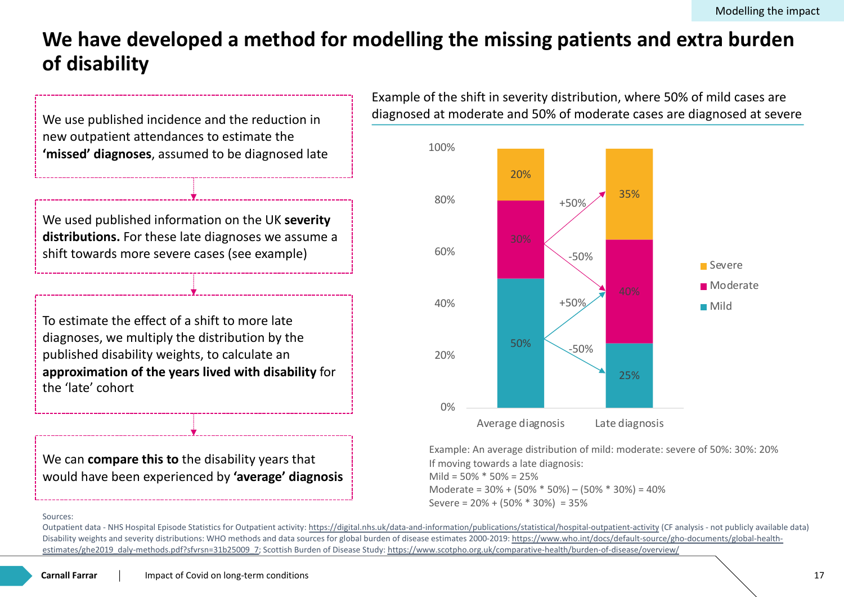#### We have developed a method for modelling the missing patien **of disability**



Example of the shift in severity distribution diagnosed at moderate and 50% of moderate



Example: An average distribution of mild: If moving towards a late diagnosis: Mild = 50% \* 50% = 25% Moderate =  $30\% + (50\% * 50\%) - (50\% *$ Severe = 20% + (50% \* 30%) = 35%

#### Sources:

Outpatient data - NHS Hospital Episode Statistics for Outpatient activity: https://digital.nhs.uk/data-and-information/publications/statistical/hospital-outpa Disability weights and severity distributions: WHO methods and data sources for global burden of disease estimates 2000-2019: https://www.who.int/docs/ estimates/ghe2019\_daly-methods.pdf?sfvrsn=31b25009\_7; Scottish Burden of Disease Study: https://www.scotpho.org.uk/comparative-health/burden-of-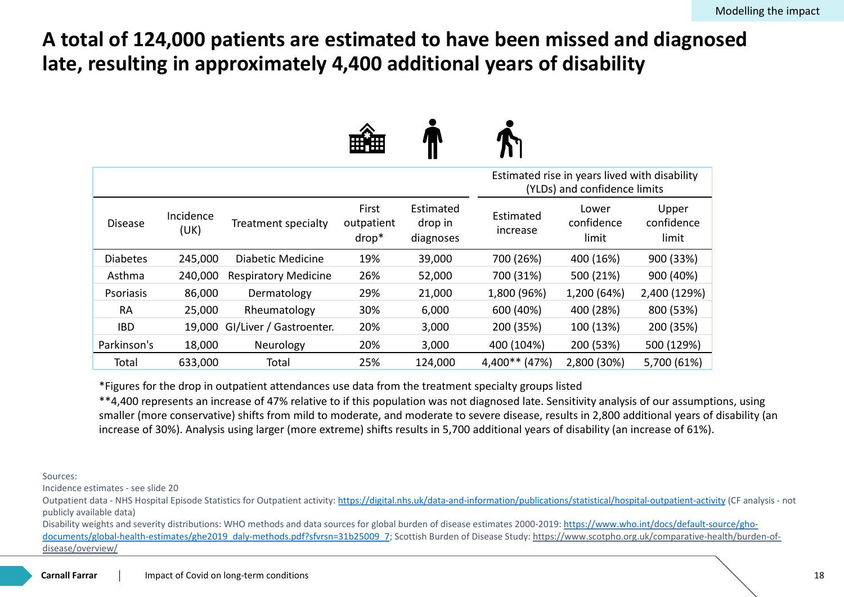#### A total of 124,000 patients are estimated to have been missed late, resulting in approximately 4,400 additional years of disab

|                 |                   |                                | 開催                           | 7 H V                             |                             |                             |
|-----------------|-------------------|--------------------------------|------------------------------|-----------------------------------|-----------------------------|-----------------------------|
|                 |                   |                                |                              |                                   | Estimated rise in years liv | (YLDs) and confide          |
| <b>Disease</b>  | Incidence<br>(UK) | Treatment specialty            | First<br>outpatient<br>drop* | Estimated<br>drop in<br>diagnoses | Estimated<br>increase       | Lower<br>confidend<br>limit |
| <b>Diabetes</b> | 245,000           | Diabetic Medicine              | 19%                          | 39,000                            | 700 (26%)                   | 400 (16%                    |
| Asthma          | 240,000           | <b>Respiratory Medicine</b>    | 26%                          | 52,000                            | 700 (31%)                   | 500 (21%                    |
| Psoriasis       | 86,000            | Dermatology                    | 29%                          | 21,000                            | 1,800 (96%)                 | 1,200 (64)                  |
| <b>RA</b>       | 25,000            | Rheumatology                   | 30%                          | 6,000                             | 600 (40%)                   | 400 (28%                    |
| <b>IBD</b>      |                   | 19,000 GI/Liver / Gastroenter. | 20%                          | 3,000                             | 200 (35%)                   | 100 (13%                    |
| Parkinson's     | 18,000            | Neurology                      | 20%                          | 3,000                             | 400 (104%)                  | 200 (53%                    |
| Total           | 633,000           | Total                          | 25%                          | 124,000                           | 4,400** (47%)               | 2,800 (30)                  |
|                 |                   |                                |                              |                                   |                             |                             |

\*Figures for the drop in outpatient attendances use data from the treatment specialty groups listed \*\*4,400 represents an increase of 47% relative to if this population was not diagnosed late. Sensitivity ana smaller (more conservative) shifts from mild to moderate, and moderate to severe disease, results in 2,80 increase of 30%). Analysis using larger (more extreme) shifts results in 5,700 additional years of disability

Sources:

Incidence estimates - see slide 20

Outpatient data - NHS Hospital Episode Statistics for Outpatient activity: https://digital.nhs.uk/data-and-information/publications/statistical/ publicly available data)

Disability weights and severity distributions: WHO methods and data sources for global burden of disease estimates 2000-2019: https://www documents/global-health-estimates/ghe2019\_daly-methods.pdf?sfvrsn=31b25009\_7; Scottish Burden of Disease Study: https://www.scotph disease/overview/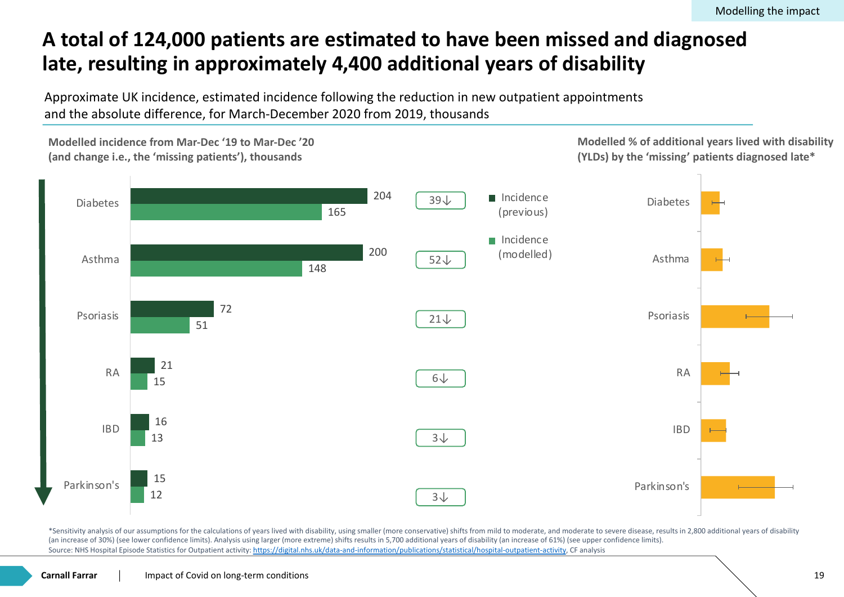### A total of 124,000 patients are estimated to have been missed late, resulting in approximately 4,400 additional years of disab

Approximate UK incidence, estimated incidence following the reduction in new outpatient appointn and the absolute difference, for March-December 2020 from 2019, thousands



\*Sensitivity analysis of our assumptions for the calculations of years lived with disability, using smaller (more conservative) shifts from mild to moderate, and moderate to se (an increase of 30%) (see lower confidence limits). Analysis using larger (more extreme) shifts results in 5,700 additional years of disability (an increase of 61%) (see upper cor Source: NHS Hospital Episode Statistics for Outpatient activity: https://digital.nhs.uk/data-and-information/publications/statistical/hospital-outpatient-activity, CF analysis